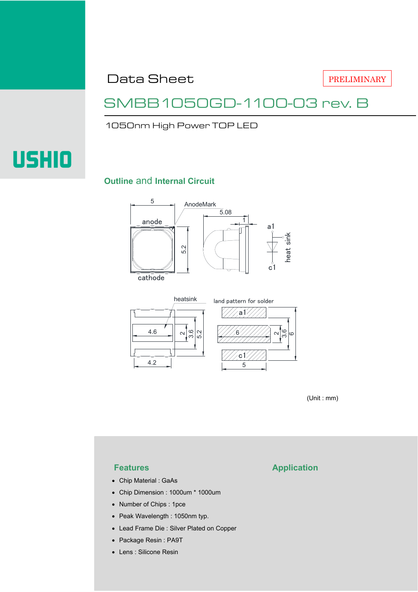Data Sheet

PRELIMINARY

### SMBB1050GD-1100-03 rev. B

1050nm High Power TOP LED

# USHIO

### **Outline** and **Internal Circuit**





(Unit : mm)

- Chip Material : GaAs
- Chip Dimension : 1000um \* 1000um
- Number of Chips : 1pce
- Peak Wavelength : 1050nm typ.
- Lead Frame Die : Silver Plated on Copper
- Package Resin : PA9T
- Lens : Silicone Resin

### **Features Application**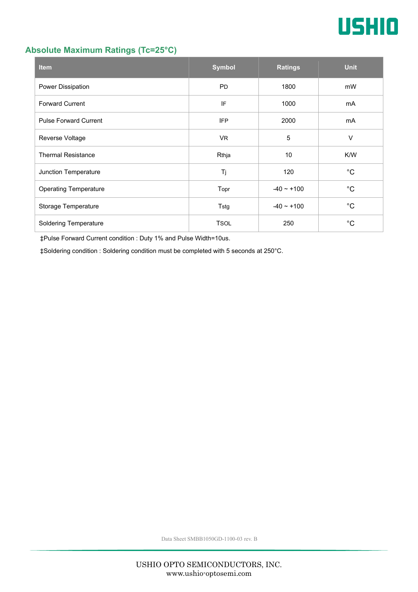

### **Absolute Maximum Ratings (Tc=25°C)**

| <b>Item</b>                  | <b>Symbol</b> | <b>Ratings</b>  | <b>Unit</b> |
|------------------------------|---------------|-----------------|-------------|
| Power Dissipation            | <b>PD</b>     | 1800            | mW          |
| <b>Forward Current</b>       | IF            | 1000            |             |
| <b>Pulse Forward Current</b> | <b>IFP</b>    | 2000            | mA          |
| Reverse Voltage              | <b>VR</b>     | 5               | $\vee$      |
| <b>Thermal Resistance</b>    | Rthja         | 10              | K/W         |
| Junction Temperature         | Tj            | 120             | $^{\circ}C$ |
| <b>Operating Temperature</b> | Topr          | $-40 \sim +100$ | $^{\circ}C$ |
| Storage Temperature          | Tstg          | $-40 - +100$    | $^{\circ}C$ |
| <b>Soldering Temperature</b> | <b>TSOL</b>   | 250             | °С          |

‡Pulse Forward Current condition : Duty 1% and Pulse Width=10us.

‡Soldering condition : Soldering condition must be completed with 5 seconds at 250°C.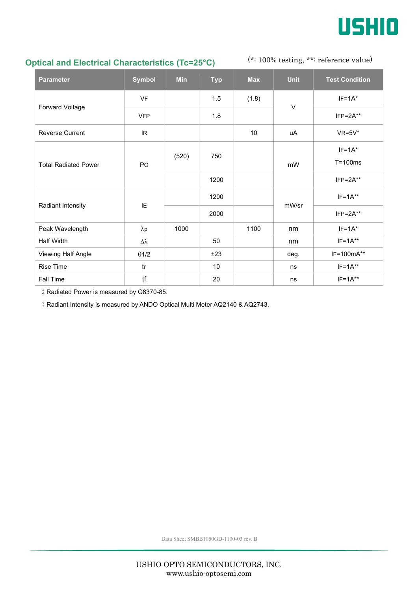

### **Optical and Electrical Characteristics (Tc=25°C)**

(\*: 100% testing, \*\*: reference value)

| <b>Parameter</b>            | <b>Symbol</b>   | <b>Min</b> | <b>Typ</b> | <b>Max</b> | <b>Unit</b> | <b>Test Condition</b> |
|-----------------------------|-----------------|------------|------------|------------|-------------|-----------------------|
| Forward Voltage             | <b>VF</b>       |            | 1.5        | (1.8)      | V           | $IF=1A*$              |
|                             | <b>VFP</b>      |            | 1.8        |            |             | $IFP = 2A**$          |
| <b>Reverse Current</b>      | IR.             |            |            | 10         | uA          | $VR=5V^*$             |
| <b>Total Radiated Power</b> | PO              | (520)      | 750        |            | mW          | $IF=1A*$              |
|                             |                 |            |            |            |             | $T = 100ms$           |
|                             |                 |            | 1200       |            |             | $IFP = 2A**$          |
| Radiant Intensity           | IE              |            | 1200       |            | mW/sr       | $IF=1A**$             |
|                             |                 |            | 2000       |            |             | $IFP=2A**$            |
| Peak Wavelength             | $\lambda p$     | 1000       |            | 1100       | nm          | $IF=1A^*$             |
| <b>Half Width</b>           | $\Delta\lambda$ |            | 50         |            | nm          | $IF=1A**$             |
| Viewing Half Angle          | $\theta$ 1/2    |            | ±23        |            | deg.        | IF=100mA**            |
| <b>Rise Time</b>            | tr              |            | 10         |            | ns          | $IF=1A**$             |
| Fall Time                   | tf              |            | 20         |            | ns          | $IF=1A**$             |

‡Radiated Power is measured by G8370-85.

‡Radiant Intensity is measured by ANDO Optical Multi Meter AQ2140 & AQ2743.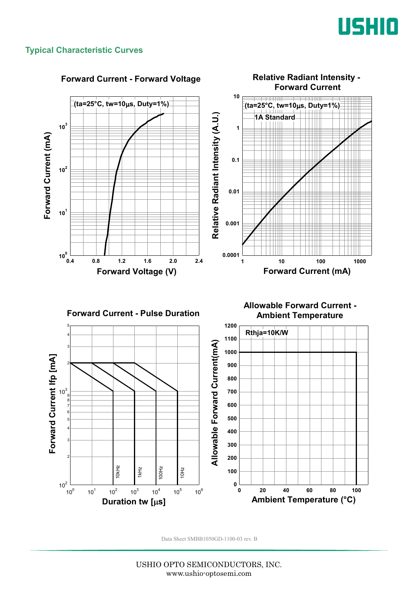

### **Typical Characteristic Curves**



USHIO OPTO SEMICONDUCTORS, INC. www.ushio-optosemi.com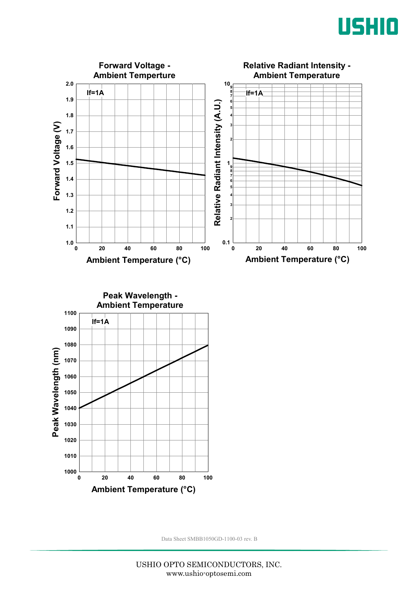



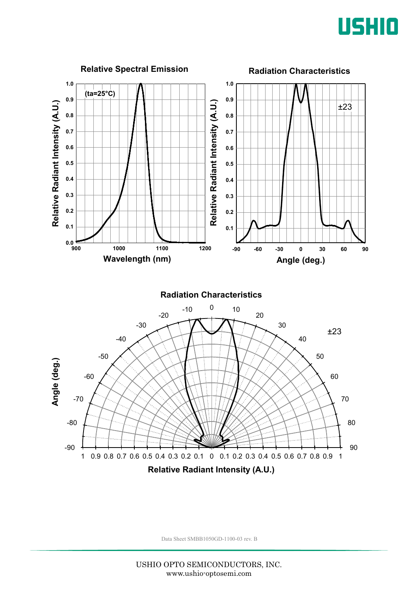

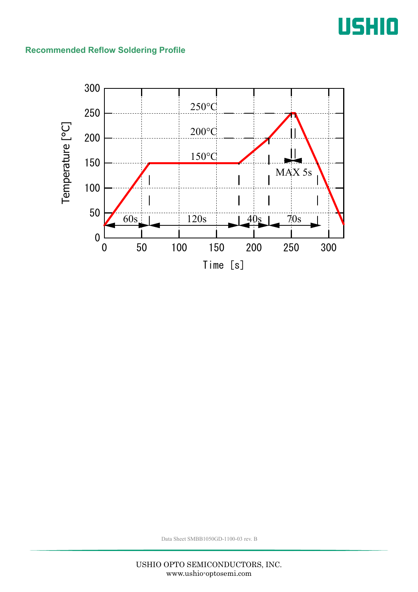## USHIO

### **Recommended Reflow Soldering Profile**

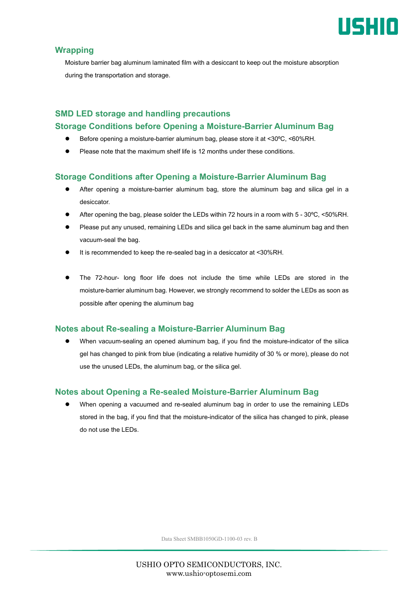

### **Wrapping**

Moisture barrier bag aluminum laminated film with a desiccant to keep out the moisture absorption during the transportation and storage.

### **SMD LED storage and handling precautions Storage Conditions before Opening a Moisture-Barrier Aluminum Bag**

- Before opening a moisture-barrier aluminum bag, please store it at <30ºC, <60%RH.
- Please note that the maximum shelf life is 12 months under these conditions.

### **Storage Conditions after Opening a Moisture-Barrier Aluminum Bag**

- After opening a moisture-barrier aluminum bag, store the aluminum bag and silica gel in a desiccator.
- After opening the bag, please solder the LEDs within 72 hours in a room with 5 30ºC, <50%RH.
- Please put any unused, remaining LEDs and silica gel back in the same aluminum bag and then vacuum-seal the bag.
- It is recommended to keep the re-sealed bag in a desiccator at <30%RH.
- The 72-hour- long floor life does not include the time while LEDs are stored in the moisture-barrier aluminum bag. However, we strongly recommend to solder the LEDs as soon as possible after opening the aluminum bag

### **Notes about Re-sealing a Moisture-Barrier Aluminum Bag**

 When vacuum-sealing an opened aluminum bag, if you find the moisture-indicator of the silica gel has changed to pink from blue (indicating a relative humidity of 30 % or more), please do not use the unused LEDs, the aluminum bag, or the silica gel.

### **Notes about Opening a Re-sealed Moisture-Barrier Aluminum Bag**

 When opening a vacuumed and re-sealed aluminum bag in order to use the remaining LEDs stored in the bag, if you find that the moisture-indicator of the silica has changed to pink, please do not use the LEDs.